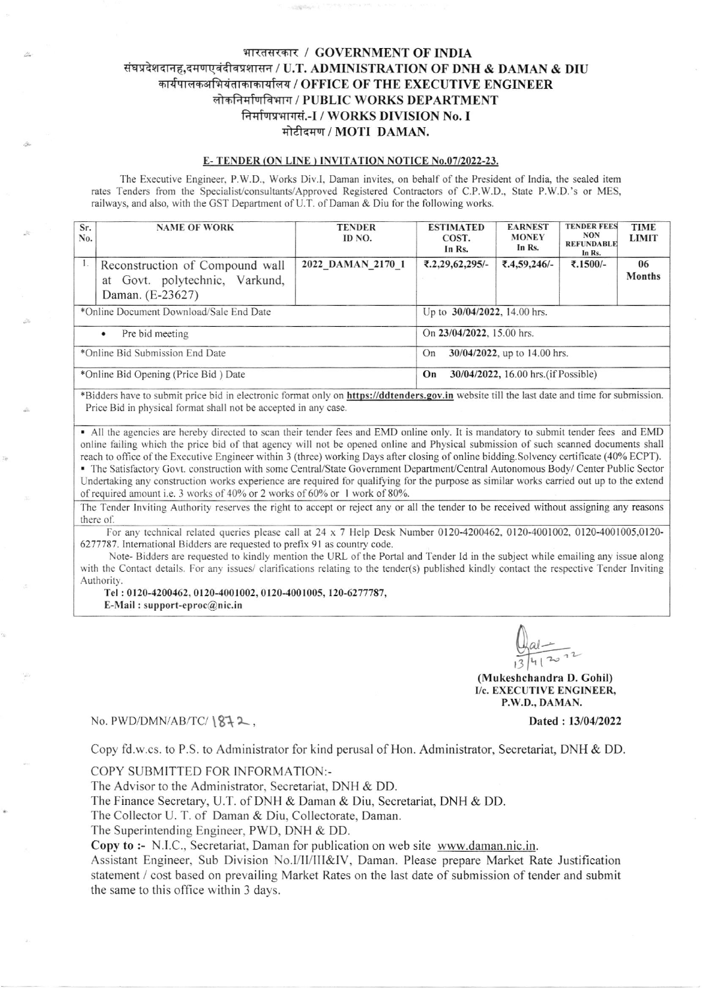# भारतसरकार / GOVERNMENT OF INDIA संघप्रदेशदानह,दमणएवंदीवप्रशासन / U.T. ADMINISTRATION OF DNH & DAMAN & DIU कार्यपालकअभियंताकाकार्यालय / OFFICE OF THE EXECUTIVE ENGINEER लोकनिर्माणविभाग / PUBLIC WORKS DEPARTMENT ffivryqnrd.-I / WORKS DIVISION No. I मोटीदमण / MOTI DAMAN.

## E- TENDER (ON LINE) INVITATION NOTICE No.07/2022-23.

The Executive Engineer, P.W.D., Works Div.I, Daman invites, on behalf of the President of India, the sealed item rates Tenders from the Specialist/consultants/Approved Registered Contractors of C.P.W.D., State P.W.D.'s or MES, railways, and also, with the GST Department of U.T. of Daman & Diu for the following works.

| Sr.<br>No.                              | <b>NAME OF WORK</b>                                                                   | <b>TENDER</b><br>ID NO. | <b>ESTIMATED</b><br>COST.<br>In Rs.        | <b>EARNEST</b><br><b>MONEY</b><br>In Rs. | <b>TENDER FEES</b><br><b>NON</b><br><b>REFUNDABLE</b><br>In Rs. | <b>TIME</b><br><b>LIMIT</b> |  |
|-----------------------------------------|---------------------------------------------------------------------------------------|-------------------------|--------------------------------------------|------------------------------------------|-----------------------------------------------------------------|-----------------------------|--|
|                                         | Reconstruction of Compound wall<br>at Govt. polytechnic, Varkund,<br>Daman. (E-23627) | 2022 DAMAN 2170 1       | $\text{\textsterling}.2.29, 62, 295/-$     | ₹.4,59,246/-                             | ₹.1500/-                                                        | 06<br>Months                |  |
| *Online Document Download/Sale End Date |                                                                                       |                         | Up to 30/04/2022, 14.00 hrs.               |                                          |                                                                 |                             |  |
| Pre bid meeting<br>$\bullet$            |                                                                                       |                         | On 23/04/2022, 15.00 hrs.                  |                                          |                                                                 |                             |  |
| *Online Bid Submission End Date         |                                                                                       |                         | 30/04/2022, up to 14.00 hrs.<br>On         |                                          |                                                                 |                             |  |
| *Online Bid Opening (Price Bid) Date    |                                                                                       |                         | 30/04/2022, 16.00 hrs. (if Possible)<br>On |                                          |                                                                 |                             |  |

\*Bidders have to submit price bid in electronic format only on https://ddtenders.gov.in website till the last date and time for submission. Price Bid in physical format shall not be accepted in any case.

• All the agencies are hereby directed to scan their tender fees and EMD online only. It is mandatory to submit tender fees and EMD online tailing which the price bid of that agency will not be opened online and Physical submission of such scanned documents shall reach to office of the Executive Engineer within 3 (three) working Days after closing of online bidding.Solvency certificate (40% ECPT).

■ The Satisfactory Govt. construction with some Central/State Government Department/Central Autonomous Body/ Center Public Sector Undertaking any construction works experience are required for qualifying for the purpose as similar works carried out up to the extend of required amount i.e. 3 works of 40% or 2 works of 60% or 1 work of 80%.

The Tender Inviting Authority reserves the right to accept or reject any or all the tender to be received without assigning any reasons there of.

For any technical related queries please call at 24 x 7 Help Desk Number 0120-4200462, 0120-4001002, 0120-4001005,0120-6277787. tnternational Biddcrs are requested to prefix 9l as country code.

Note- Bidders are requested to kindly mention the URL of the Portal and Tender Id in the subject while emailing any issue along with the Contact details. For any issues/ clarifications relating to the tender(s) published kindly contact the respective Tender Inviting Authority.

Tel : 0120-4200462, 0120-4001002, 0120-4001005, 120-6217787,

 $E-Mail$ : support-eproc $@$ nic.in

 $\frac{al-1}{l-1}$  $13412$ 

(Mukeshchandra D. Gohil) I/c. EXECUTIVE ENGINEER, P.W.D.. DAMAN.

## No. PWD/DMN/AB/TC/ $\frac{812}{10}$ ,

Dated: 13/04/2022

I

Copy fd.w.cs. to P.S. to Administrator for kind perusal of Hon. Administrator, Secretariat, DNH & DD

## COPY SUBMITTED FOR INFORMATION:-

The Advisor to the Administrator, Secretariat, DNH & DD.

The Finance Secretary, U.T. of DNH & Daman & Diu, Secretariat, DNH & DD.

The Collector U. T. of Daman & Diu, Collectorate, Daman.

The Superintending Engineer, PWD, DNH & DD.

Copy to :- N.l.C., Secretariat, Daman for publication on web sile www.daman.nic.in.

Assistant Engineer, Sub Division No.*I*/II/III&IV, Daman. Please prepare Market Rate Justification statement / cost based on prevailing Market Rates on the last date of submission of tender and submit the same to this office within 3 days.